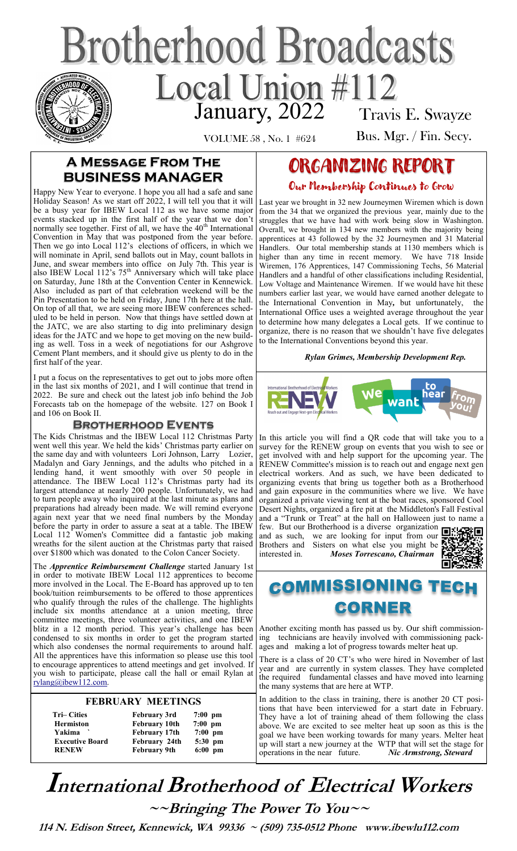# **Brotherhood Broadcasts** Local Union #112 Travis E. Swayze

VOLUME 58 , No. 1 #624

Bus. Mgr. / Fin. Secy.

## **A Message From The BUSINESS MANAGER**

Happy New Year to everyone. I hope you all had a safe and sane Holiday Season! As we start off 2022, I will tell you that it will be a busy year for IBEW Local 112 as we have some major events stacked up in the first half of the year that we don't normally see together. First of all, we have the 40<sup>th</sup> International Convention in May that was postponed from the year before. Then we go into Local 112's elections of officers, in which we will nominate in April, send ballots out in May, count ballots in June, and swear members into office on July 7th. This year is also IBEW Local 112's  $75<sup>th</sup>$  Anniversary which will take place on Saturday, June 18th at the Convention Center in Kennewick. Also included as part of that celebration weekend will be the Pin Presentation to be held on Friday, June 17th here at the hall. On top of all that, we are seeing more IBEW conferences scheduled to be held in person. Now that things have settled down at the JATC, we are also starting to dig into preliminary design ideas for the JATC and we hope to get moving on the new building as well. Toss in a week of negotiations for our Ashgrove Cement Plant members, and it should give us plenty to do in the first half of the year.

I put a focus on the representatives to get out to jobs more often in the last six months of 2021, and I will continue that trend in 2022. Be sure and check out the latest job info behind the Job Forecasts tab on the homepage of the website. 127 on Book I and 106 on Book II.

### **Brotherhood Events**

The Kids Christmas and the IBEW Local 112 Christmas Party went well this year. We held the kids' Christmas party earlier on the same day and with volunteers Lori Johnson, Larry Lozier, Madalyn and Gary Jennings, and the adults who pitched in a lending hand, it went smoothly with over 50 people in attendance. The IBEW Local 112's Christmas party had its largest attendance at nearly 200 people. Unfortunately, we had to turn people away who inquired at the last minute as plans and preparations had already been made. We will remind everyone again next year that we need final numbers by the Monday before the party in order to assure a seat at a table. The IBEW Local 112 Women's Committee did a fantastic job making wreaths for the silent auction at the Christmas party that raised over \$1800 which was donated to the Colon Cancer Society.

The *Apprentice Reimbursement Challenge* started January 1st in order to motivate IBEW Local 112 apprentices to become more involved in the Local. The E-Board has approved up to ten book/tuition reimbursements to be offered to those apprentices who qualify through the rules of the challenge. The highlights include six months attendance at a union meeting, three committee meetings, three volunteer activities, and one IBEW blitz in a 12 month period. This year's challenge has been condensed to six months in order to get the program started which also condenses the normal requirements to around half. All the apprentices have this information so please use this tool to encourage apprentices to attend meetings and get involved. If you wish to participate, please call the hall or email Rylan at [rylang@ibew112.com.](mailto:rylang@ibew112.com)

## **FEBRUARY MEETINGS**

| <b>Tri-Cities</b>      | <b>February 3rd</b>  | $7:00$ pm |
|------------------------|----------------------|-----------|
| <b>Hermiston</b>       | <b>February 10th</b> | $7:00$ pm |
| Yakima                 | <b>February 17th</b> | $7:00$ pm |
| <b>Executive Board</b> | February 24th        | 5:30 pm   |
| <b>RENEW</b>           | <b>February 9th</b>  | $6:00$ pm |

## ORGANIZING REPORT Our Membership Continues to Grow

Last year we brought in 32 new Journeymen Wiremen which is down from the 34 that we organized the previous year, mainly due to the struggles that we have had with work being slow in Washington. Overall, we brought in 134 new members with the majority being apprentices at 43 followed by the 32 Journeymen and 31 Material Handlers. Our total membership stands at 1130 members which is higher than any time in recent memory. We have 718 Inside Wiremen, 176 Apprentices, 147 Commissioning Techs, 56 Material Handlers and a handful of other classifications including Residential, Low Voltage and Maintenance Wiremen. If we would have hit these numbers earlier last year, we would have earned another delegate to the International Convention in May*,* but unfortunately, the International Office uses a weighted average throughout the year to determine how many delegates a Local gets. If we continue to organize, there is no reason that we shouldn't have five delegates to the International Conventions beyond this year.

#### *Rylan Grimes, Membership Development Rep.*



In this article you will find a QR code that will take you to a survey for the RENEW group on events that you wish to see or get involved with and help support for the upcoming year. The RENEW Committee's mission is to reach out and engage next gen electrical workers. And as such, we have been dedicated to organizing events that bring us together both as a Brotherhood and gain exposure in the communities where we live. We have organized a private viewing tent at the boat races, sponsored Cool Desert Nights, organized a fire pit at the Middleton's Fall Festival and a "Trunk or Treat" at the hall on Halloween just to name a few. But our Brotherhood is a diverse organization

and as such, we are looking for input from our Brothers and Sisters on what else you might be interested in. *Moses Torrescano, Chairman* 



# **COMMISSIONING TECH** CORNER

Another exciting month has passed us by. Our shift commissioning technicians are heavily involved with commissioning packages and making a lot of progress towards melter heat up.

There is a class of 20 CT's who were hired in November of last year and are currently in system classes. They have completed the required fundamental classes and have moved into learning the many systems that are here at WTP.

In addition to the class in training, there is another 20 CT positions that have been interviewed for a start date in February. They have a lot of training ahead of them following the class above. We are excited to see melter heat up soon as this is the goal we have been working towards for many years. Melter heat up will start a new journey at the WTP that will set the stage for operations in the near future. Nic Armstrong, Steward operations in the near future.

**International Brotherhood of <sup>E</sup>lectrical Workers ~~Bringing The Power To You~~** 

 **114 N. Edison Street, Kennewick, WA 99336 ~ (509) 735-0512 Phone www.ibewlu112.com**